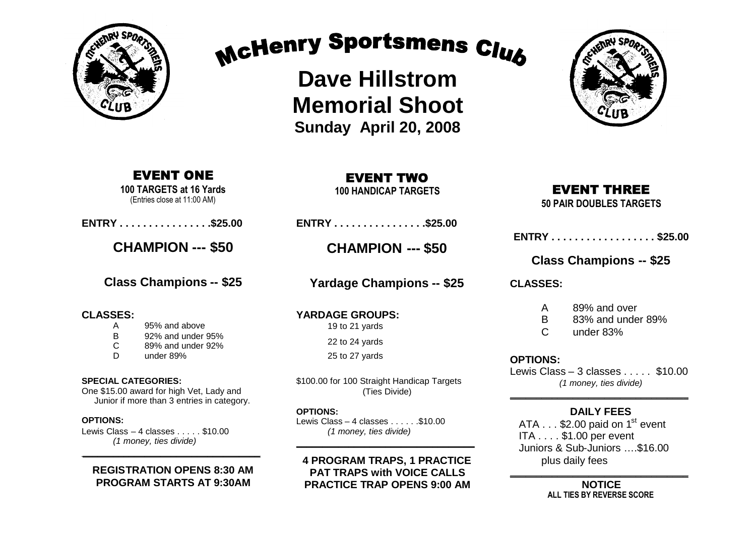

# McHenry Sportsmens Club

**Dave Hillstrom Memorial Shoot Sunday April 20, 2008**

### EVENT ONE

**100 TARGETS at 16 Yards** (Entries close at 11:00 AM)

**ENTRY . . . . . . . . . . . . . . . .\$25.00**

**CHAMPION --- \$50**

**Class Champions -- \$25**

### **CLASSES:**

- A 95% and above
- B 92% and under 95%
- C 89% and under 92%
- D under 89%

#### **SPECIAL CATEGORIES:**

One \$15.00 award for high Vet, Lady and Junior if more than 3 entries in category.

### **OPTIONS:**

Lewis Class – 4 classes . . . . . \$10.00 *(1 money, ties divide)*

### **REGISTRATION OPENS 8:30 AM PROGRAM STARTS AT 9:30AM**

\_\_\_\_\_\_\_\_\_\_\_\_\_\_\_\_\_\_\_\_\_\_\_\_\_\_\_\_\_\_\_\_\_\_

**100 HANDICAP TARGETS**

**ENTRY . . . . . . . . . . . . . . . .\$25.00**

**CHAMPION --- \$50**

**Yardage Champions -- \$25**

**YARDAGE GROUPS:** 19 to 21 yards 22 to 24 yards

25 to 27 yards

\$100.00 for 100 Straight Handicap Targets (Ties Divide)

#### **OPTIONS:**

Lewis Class – 4 classes  $\dots$  . . . . . \$10.00 *(1 money, ties divide)*  $\overline{\phantom{a}}$  , and the contract of the contract of the contract of the contract of the contract of the contract of the contract of the contract of the contract of the contract of the contract of the contract of the contrac

### **4 PROGRAM TRAPS, 1 PRACTICE PAT TRAPS with VOICE CALLS PRACTICE TRAP OPENS 9:00 AM**



### EVENT THREE

**50 PAIR DOUBLES TARGETS**

| ENTRY \$25.00 |  |  |  |  |  |  |  |  |  |  |  |  |  |  |  |  |  |
|---------------|--|--|--|--|--|--|--|--|--|--|--|--|--|--|--|--|--|
|---------------|--|--|--|--|--|--|--|--|--|--|--|--|--|--|--|--|--|

### **Class Champions -- \$25**

**CLASSES:**

- A 89% and over
- B 83% and under 89%
- C under 83%

### **OPTIONS:**

Lewis Class – 3 classes . . . . . \$10.00 *(1 money, ties divide)*  $\overline{\phantom{a}}$  , and the set of the set of the set of the set of the set of the set of the set of the set of the set of the set of the set of the set of the set of the set of the set of the set of the set of the set of the s

### **DAILY FEES**

ATA  $\ldots$  \$2.00 paid on 1<sup>st</sup> event ITA . . . . \$1.00 per event Juniors & Sub-Juniors ….\$16.00 plus daily fees

 $\overline{\phantom{a}}$  , where  $\overline{\phantom{a}}$  , where  $\overline{\phantom{a}}$  , where  $\overline{\phantom{a}}$ **NOTICE ALL TIES BY REVERSE SCORE**

## EVENT TWO